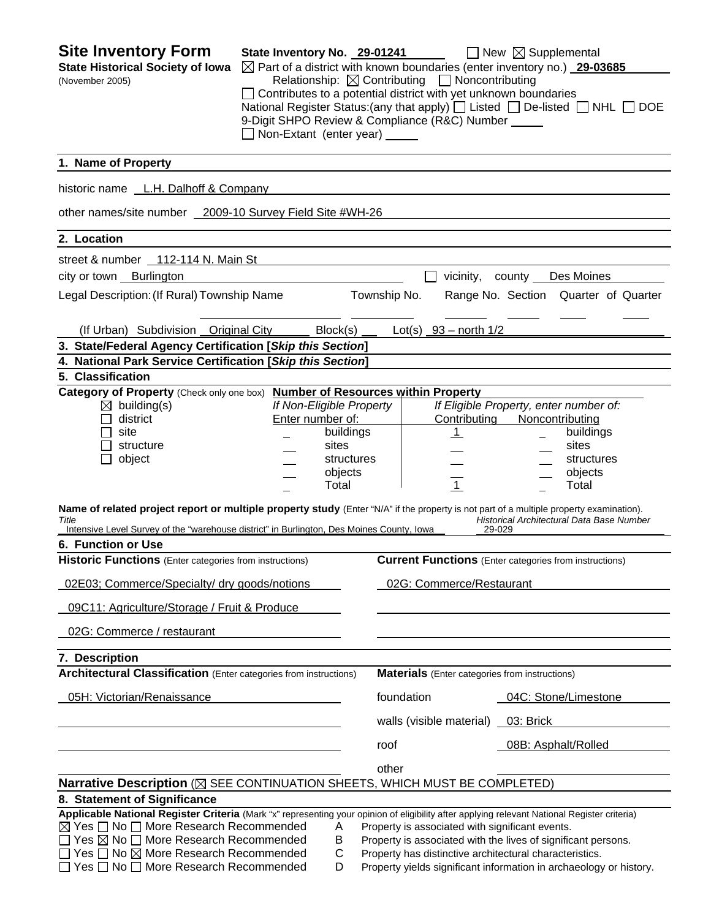| <b>Site Inventory Form</b><br><b>State Historical Society of Iowa</b><br>(November 2005)                                                                                                                                                      | State Inventory No. 29-01241                                                         |                    |              | Relationship: $\boxtimes$ Contributing $\Box$ Noncontributing   | $\Box$ New $\boxtimes$ Supplemental<br>$\boxtimes$ Part of a district with known boundaries (enter inventory no.) 29-03685 |  |
|-----------------------------------------------------------------------------------------------------------------------------------------------------------------------------------------------------------------------------------------------|--------------------------------------------------------------------------------------|--------------------|--------------|-----------------------------------------------------------------|----------------------------------------------------------------------------------------------------------------------------|--|
|                                                                                                                                                                                                                                               | 9-Digit SHPO Review & Compliance (R&C) Number _____<br>Non-Extant (enter year) _____ |                    |              | Contributes to a potential district with yet unknown boundaries | National Register Status: (any that apply) $\Box$ Listed $\Box$ De-listed $\Box$ NHL $\Box$ DOE                            |  |
| 1. Name of Property                                                                                                                                                                                                                           |                                                                                      |                    |              |                                                                 |                                                                                                                            |  |
| historic name L.H. Dalhoff & Company                                                                                                                                                                                                          |                                                                                      |                    |              |                                                                 |                                                                                                                            |  |
| other names/site number 2009-10 Survey Field Site #WH-26                                                                                                                                                                                      |                                                                                      |                    |              |                                                                 |                                                                                                                            |  |
| 2. Location                                                                                                                                                                                                                                   |                                                                                      |                    |              |                                                                 |                                                                                                                            |  |
| street & number 112-114 N. Main St                                                                                                                                                                                                            |                                                                                      |                    |              |                                                                 |                                                                                                                            |  |
| city or town Burlington                                                                                                                                                                                                                       |                                                                                      |                    |              | vicinity,                                                       | county Des Moines                                                                                                          |  |
| Legal Description: (If Rural) Township Name                                                                                                                                                                                                   |                                                                                      |                    | Township No. |                                                                 | Range No. Section Quarter of Quarter                                                                                       |  |
| (If Urban) Subdivision Original City                                                                                                                                                                                                          |                                                                                      | Block(s)           |              | Lot(s) $93 - north$ 1/2                                         |                                                                                                                            |  |
| 3. State/Federal Agency Certification [Skip this Section]                                                                                                                                                                                     |                                                                                      |                    |              |                                                                 |                                                                                                                            |  |
| 4. National Park Service Certification [Skip this Section]<br>5. Classification                                                                                                                                                               |                                                                                      |                    |              |                                                                 |                                                                                                                            |  |
| Category of Property (Check only one box) Number of Resources within Property                                                                                                                                                                 |                                                                                      |                    |              |                                                                 |                                                                                                                            |  |
| $\boxtimes$ building(s)                                                                                                                                                                                                                       | If Non-Eligible Property                                                             |                    |              |                                                                 | If Eligible Property, enter number of:                                                                                     |  |
| district                                                                                                                                                                                                                                      | Enter number of:                                                                     |                    |              | Contributing                                                    | Noncontributing                                                                                                            |  |
| site<br>structure                                                                                                                                                                                                                             |                                                                                      | buildings<br>sites |              | $\perp$                                                         | buildings<br>sites                                                                                                         |  |
| object                                                                                                                                                                                                                                        |                                                                                      | structures         |              |                                                                 | structures                                                                                                                 |  |
|                                                                                                                                                                                                                                               |                                                                                      | objects            |              |                                                                 | objects                                                                                                                    |  |
|                                                                                                                                                                                                                                               |                                                                                      | Total              |              | $\overline{1}$                                                  | Total                                                                                                                      |  |
| Name of related project report or multiple property study (Enter "N/A" if the property is not part of a multiple property examination).<br>Title<br>Intensive Level Survey of the "warehouse district" in Burlington, Des Moines County, Iowa |                                                                                      |                    |              |                                                                 | Historical Architectural Data Base Number<br>29-029                                                                        |  |
| 6. Function or Use                                                                                                                                                                                                                            |                                                                                      |                    |              |                                                                 |                                                                                                                            |  |
| <b>Historic Functions</b> (Enter categories from instructions)                                                                                                                                                                                |                                                                                      |                    |              |                                                                 | <b>Current Functions</b> (Enter categories from instructions)                                                              |  |
| 02E03; Commerce/Specialty/ dry goods/notions                                                                                                                                                                                                  |                                                                                      |                    |              | 02G: Commerce/Restaurant                                        |                                                                                                                            |  |
| 09C11: Agriculture/Storage / Fruit & Produce                                                                                                                                                                                                  |                                                                                      |                    |              |                                                                 |                                                                                                                            |  |
| 02G: Commerce / restaurant                                                                                                                                                                                                                    |                                                                                      |                    |              |                                                                 |                                                                                                                            |  |
| 7. Description                                                                                                                                                                                                                                |                                                                                      |                    |              |                                                                 |                                                                                                                            |  |
| <b>Architectural Classification</b> (Enter categories from instructions)                                                                                                                                                                      |                                                                                      |                    |              | <b>Materials</b> (Enter categories from instructions)           |                                                                                                                            |  |
| 05H: Victorian/Renaissance                                                                                                                                                                                                                    |                                                                                      |                    | foundation   |                                                                 | 04C: Stone/Limestone                                                                                                       |  |
|                                                                                                                                                                                                                                               |                                                                                      |                    |              | walls (visible material) 03: Brick                              |                                                                                                                            |  |
|                                                                                                                                                                                                                                               |                                                                                      |                    | roof         |                                                                 | 08B: Asphalt/Rolled                                                                                                        |  |
|                                                                                                                                                                                                                                               |                                                                                      |                    | other        |                                                                 |                                                                                                                            |  |
| Narrative Description (X SEE CONTINUATION SHEETS, WHICH MUST BE COMPLETED)                                                                                                                                                                    |                                                                                      |                    |              |                                                                 |                                                                                                                            |  |
| 8. Statement of Significance                                                                                                                                                                                                                  |                                                                                      |                    |              |                                                                 |                                                                                                                            |  |
| Applicable National Register Criteria (Mark "x" representing your opinion of eligibility after applying relevant National Register criteria)<br>$\boxtimes$ Yes $\Box$ No $\Box$ More Research Recommended                                    |                                                                                      | Α                  |              | Property is associated with significant events.                 |                                                                                                                            |  |
| $\Box$ Yes $\boxtimes$ No $\Box$ More Research Recommended                                                                                                                                                                                    |                                                                                      | B                  |              |                                                                 | Property is associated with the lives of significant persons.                                                              |  |
| $\Box$ Yes $\Box$ No $\boxtimes$ More Research Recommended                                                                                                                                                                                    |                                                                                      | C                  |              |                                                                 | Property has distinctive architectural characteristics.                                                                    |  |
| $\Box$ Yes $\Box$ No $\Box$ More Research Recommended                                                                                                                                                                                         |                                                                                      | D                  |              |                                                                 | Property yields significant information in archaeology or history.                                                         |  |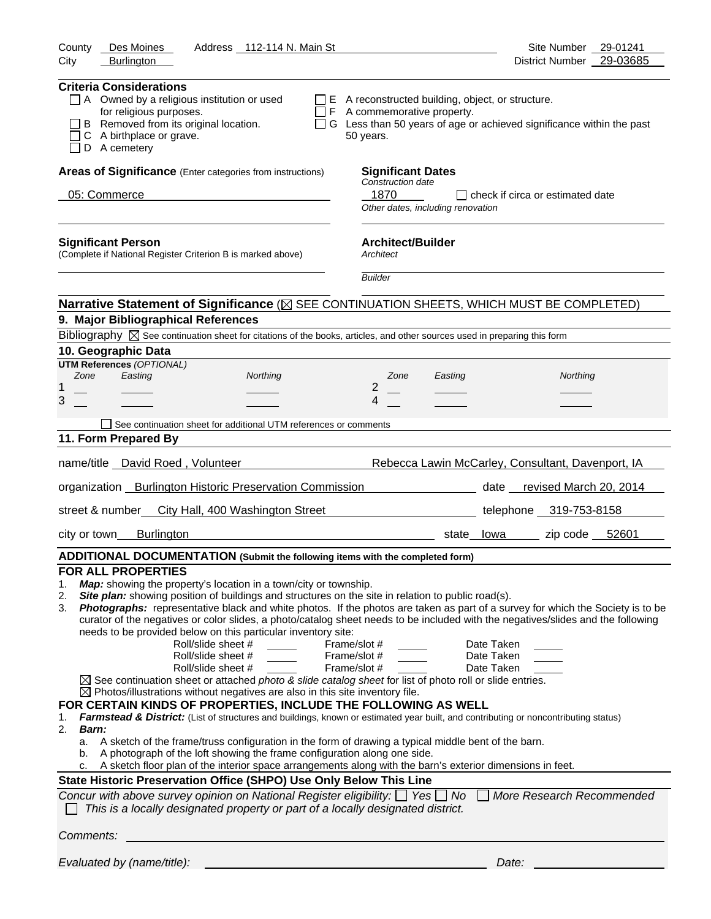| County<br>Des Moines<br>Address 112-114 N. Main St<br>City<br><b>Burlington</b>                                                                                                                                                                                                                                                                                                                                                                                                                                                                                                                                                                                                                                                                                                                                                                                                                                                                                                                                                                                                                                                                                                                                                                                                                                                                                                                                                                                                                                                                                                                                                       | Site Number 29-01241<br>District Number 29-03685                                                                                 |
|---------------------------------------------------------------------------------------------------------------------------------------------------------------------------------------------------------------------------------------------------------------------------------------------------------------------------------------------------------------------------------------------------------------------------------------------------------------------------------------------------------------------------------------------------------------------------------------------------------------------------------------------------------------------------------------------------------------------------------------------------------------------------------------------------------------------------------------------------------------------------------------------------------------------------------------------------------------------------------------------------------------------------------------------------------------------------------------------------------------------------------------------------------------------------------------------------------------------------------------------------------------------------------------------------------------------------------------------------------------------------------------------------------------------------------------------------------------------------------------------------------------------------------------------------------------------------------------------------------------------------------------|----------------------------------------------------------------------------------------------------------------------------------|
| <b>Criteria Considerations</b><br>$\Box$ A Owned by a religious institution or used<br>for religious purposes.<br>$\Box$ F A commemorative property.<br>B Removed from its original location.<br>C A birthplace or grave.<br>50 years.<br>$\Box$ D A cemetery                                                                                                                                                                                                                                                                                                                                                                                                                                                                                                                                                                                                                                                                                                                                                                                                                                                                                                                                                                                                                                                                                                                                                                                                                                                                                                                                                                         | $\Box$ E A reconstructed building, object, or structure.<br>G Less than 50 years of age or achieved significance within the past |
| Areas of Significance (Enter categories from instructions)<br><b>Significant Dates</b><br>Construction date<br>05: Commerce<br>1870                                                                                                                                                                                                                                                                                                                                                                                                                                                                                                                                                                                                                                                                                                                                                                                                                                                                                                                                                                                                                                                                                                                                                                                                                                                                                                                                                                                                                                                                                                   | □ check if circa or estimated date<br>Other dates, including renovation                                                          |
| <b>Architect/Builder</b><br><b>Significant Person</b><br>(Complete if National Register Criterion B is marked above)<br>Architect<br><b>Builder</b>                                                                                                                                                                                                                                                                                                                                                                                                                                                                                                                                                                                                                                                                                                                                                                                                                                                                                                                                                                                                                                                                                                                                                                                                                                                                                                                                                                                                                                                                                   |                                                                                                                                  |
| Narrative Statement of Significance ( $\boxtimes$ SEE CONTINUATION SHEETS, WHICH MUST BE COMPLETED)<br>9. Major Bibliographical References                                                                                                                                                                                                                                                                                                                                                                                                                                                                                                                                                                                                                                                                                                                                                                                                                                                                                                                                                                                                                                                                                                                                                                                                                                                                                                                                                                                                                                                                                            |                                                                                                                                  |
| Bibliography $\boxtimes$ See continuation sheet for citations of the books, articles, and other sources used in preparing this form                                                                                                                                                                                                                                                                                                                                                                                                                                                                                                                                                                                                                                                                                                                                                                                                                                                                                                                                                                                                                                                                                                                                                                                                                                                                                                                                                                                                                                                                                                   |                                                                                                                                  |
| 10. Geographic Data                                                                                                                                                                                                                                                                                                                                                                                                                                                                                                                                                                                                                                                                                                                                                                                                                                                                                                                                                                                                                                                                                                                                                                                                                                                                                                                                                                                                                                                                                                                                                                                                                   |                                                                                                                                  |
| <b>UTM References (OPTIONAL)</b><br>Easting<br>Zone<br>Northing<br>Zone<br>2<br>1<br>3<br>4                                                                                                                                                                                                                                                                                                                                                                                                                                                                                                                                                                                                                                                                                                                                                                                                                                                                                                                                                                                                                                                                                                                                                                                                                                                                                                                                                                                                                                                                                                                                           | Northing<br>Easting                                                                                                              |
| See continuation sheet for additional UTM references or comments                                                                                                                                                                                                                                                                                                                                                                                                                                                                                                                                                                                                                                                                                                                                                                                                                                                                                                                                                                                                                                                                                                                                                                                                                                                                                                                                                                                                                                                                                                                                                                      |                                                                                                                                  |
| 11. Form Prepared By                                                                                                                                                                                                                                                                                                                                                                                                                                                                                                                                                                                                                                                                                                                                                                                                                                                                                                                                                                                                                                                                                                                                                                                                                                                                                                                                                                                                                                                                                                                                                                                                                  |                                                                                                                                  |
|                                                                                                                                                                                                                                                                                                                                                                                                                                                                                                                                                                                                                                                                                                                                                                                                                                                                                                                                                                                                                                                                                                                                                                                                                                                                                                                                                                                                                                                                                                                                                                                                                                       |                                                                                                                                  |
| name/title David Roed, Volunteer                                                                                                                                                                                                                                                                                                                                                                                                                                                                                                                                                                                                                                                                                                                                                                                                                                                                                                                                                                                                                                                                                                                                                                                                                                                                                                                                                                                                                                                                                                                                                                                                      | Rebecca Lawin McCarley, Consultant, Davenport, IA                                                                                |
| organization _Burlington Historic Preservation Commission                                                                                                                                                                                                                                                                                                                                                                                                                                                                                                                                                                                                                                                                                                                                                                                                                                                                                                                                                                                                                                                                                                                                                                                                                                                                                                                                                                                                                                                                                                                                                                             | date revised March 20, 2014                                                                                                      |
| street & number<br>City Hall, 400 Washington Street                                                                                                                                                                                                                                                                                                                                                                                                                                                                                                                                                                                                                                                                                                                                                                                                                                                                                                                                                                                                                                                                                                                                                                                                                                                                                                                                                                                                                                                                                                                                                                                   | telephone 319-753-8158                                                                                                           |
| city or town__<br>Burlington                                                                                                                                                                                                                                                                                                                                                                                                                                                                                                                                                                                                                                                                                                                                                                                                                                                                                                                                                                                                                                                                                                                                                                                                                                                                                                                                                                                                                                                                                                                                                                                                          | zip code 52601<br>state lowa                                                                                                     |
| ADDITIONAL DOCUMENTATION (Submit the following items with the completed form)                                                                                                                                                                                                                                                                                                                                                                                                                                                                                                                                                                                                                                                                                                                                                                                                                                                                                                                                                                                                                                                                                                                                                                                                                                                                                                                                                                                                                                                                                                                                                         |                                                                                                                                  |
| <b>FOR ALL PROPERTIES</b><br>Map: showing the property's location in a town/city or township.<br>1.<br>Site plan: showing position of buildings and structures on the site in relation to public road(s).<br>2.<br>Photographs: representative black and white photos. If the photos are taken as part of a survey for which the Society is to be<br>3.<br>curator of the negatives or color slides, a photo/catalog sheet needs to be included with the negatives/slides and the following<br>needs to be provided below on this particular inventory site:<br>Roll/slide sheet #<br>Frame/slot #<br>Roll/slide sheet #<br>Frame/slot #<br>Frame/slot #<br>Roll/slide sheet #<br>$\boxtimes$ See continuation sheet or attached <i>photo &amp; slide catalog sheet</i> for list of photo roll or slide entries.<br>$\boxtimes$ Photos/illustrations without negatives are also in this site inventory file.<br>FOR CERTAIN KINDS OF PROPERTIES, INCLUDE THE FOLLOWING AS WELL<br>Farmstead & District: (List of structures and buildings, known or estimated year built, and contributing or noncontributing status)<br>1.<br>2.<br><b>Barn:</b><br>a. A sketch of the frame/truss configuration in the form of drawing a typical middle bent of the barn.<br>A photograph of the loft showing the frame configuration along one side.<br>b.<br>c. A sketch floor plan of the interior space arrangements along with the barn's exterior dimensions in feet.<br>State Historic Preservation Office (SHPO) Use Only Below This Line<br>Concur with above survey opinion on National Register eligibility: $\Box$ Yes $\Box$ No $\Box$ | Date Taken<br>Date Taken<br>Date Taken<br>More Research Recommended                                                              |
| This is a locally designated property or part of a locally designated district.                                                                                                                                                                                                                                                                                                                                                                                                                                                                                                                                                                                                                                                                                                                                                                                                                                                                                                                                                                                                                                                                                                                                                                                                                                                                                                                                                                                                                                                                                                                                                       |                                                                                                                                  |
| Comments:                                                                                                                                                                                                                                                                                                                                                                                                                                                                                                                                                                                                                                                                                                                                                                                                                                                                                                                                                                                                                                                                                                                                                                                                                                                                                                                                                                                                                                                                                                                                                                                                                             |                                                                                                                                  |
| Evaluated by (name/title):                                                                                                                                                                                                                                                                                                                                                                                                                                                                                                                                                                                                                                                                                                                                                                                                                                                                                                                                                                                                                                                                                                                                                                                                                                                                                                                                                                                                                                                                                                                                                                                                            | Date:                                                                                                                            |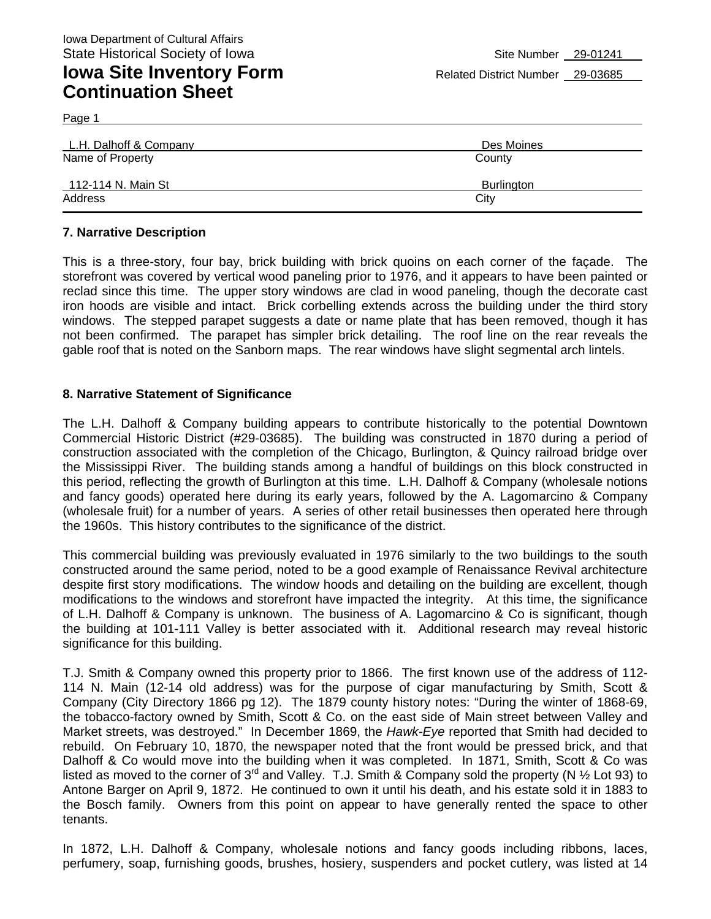Page 1

| L.H. Dalhoff & Company | Des Moines |
|------------------------|------------|
| Name of Property       | County     |
| 112-114 N. Main St     | Burlington |
| Address                | City       |

## **7. Narrative Description**

This is a three-story, four bay, brick building with brick quoins on each corner of the façade. The storefront was covered by vertical wood paneling prior to 1976, and it appears to have been painted or reclad since this time. The upper story windows are clad in wood paneling, though the decorate cast iron hoods are visible and intact. Brick corbelling extends across the building under the third story windows. The stepped parapet suggests a date or name plate that has been removed, though it has not been confirmed. The parapet has simpler brick detailing. The roof line on the rear reveals the gable roof that is noted on the Sanborn maps. The rear windows have slight segmental arch lintels.

## **8. Narrative Statement of Significance**

The L.H. Dalhoff & Company building appears to contribute historically to the potential Downtown Commercial Historic District (#29-03685). The building was constructed in 1870 during a period of construction associated with the completion of the Chicago, Burlington, & Quincy railroad bridge over the Mississippi River. The building stands among a handful of buildings on this block constructed in this period, reflecting the growth of Burlington at this time. L.H. Dalhoff & Company (wholesale notions and fancy goods) operated here during its early years, followed by the A. Lagomarcino & Company (wholesale fruit) for a number of years. A series of other retail businesses then operated here through the 1960s. This history contributes to the significance of the district.

This commercial building was previously evaluated in 1976 similarly to the two buildings to the south constructed around the same period, noted to be a good example of Renaissance Revival architecture despite first story modifications. The window hoods and detailing on the building are excellent, though modifications to the windows and storefront have impacted the integrity. At this time, the significance of L.H. Dalhoff & Company is unknown. The business of A. Lagomarcino & Co is significant, though the building at 101-111 Valley is better associated with it. Additional research may reveal historic significance for this building.

T.J. Smith & Company owned this property prior to 1866. The first known use of the address of 112- 114 N. Main (12-14 old address) was for the purpose of cigar manufacturing by Smith, Scott & Company (City Directory 1866 pg 12). The 1879 county history notes: "During the winter of 1868-69, the tobacco-factory owned by Smith, Scott & Co. on the east side of Main street between Valley and Market streets, was destroyed." In December 1869, the *Hawk-Eye* reported that Smith had decided to rebuild. On February 10, 1870, the newspaper noted that the front would be pressed brick, and that Dalhoff & Co would move into the building when it was completed. In 1871, Smith, Scott & Co was listed as moved to the corner of 3<sup>rd</sup> and Valley. T.J. Smith & Company sold the property (N  $\frac{1}{2}$  Lot 93) to Antone Barger on April 9, 1872. He continued to own it until his death, and his estate sold it in 1883 to the Bosch family. Owners from this point on appear to have generally rented the space to other tenants.

In 1872, L.H. Dalhoff & Company, wholesale notions and fancy goods including ribbons, laces, perfumery, soap, furnishing goods, brushes, hosiery, suspenders and pocket cutlery, was listed at 14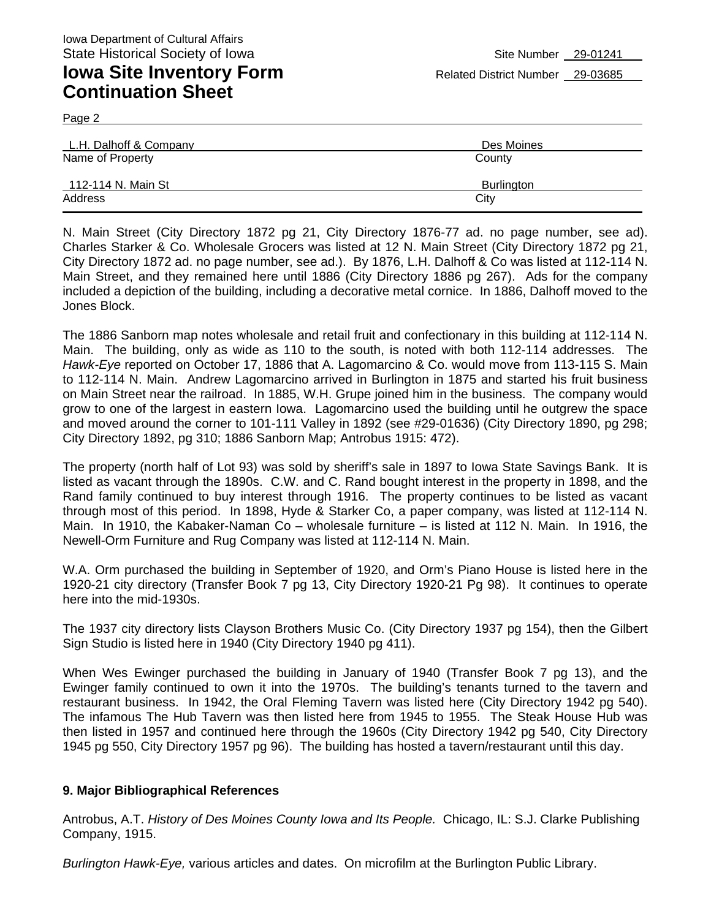Page 2

| L.H. Dalhoff & Company | Des Moines |
|------------------------|------------|
| Name of Property       | County     |
| 112-114 N. Main St     | Burlington |
| Address                | City       |

N. Main Street (City Directory 1872 pg 21, City Directory 1876-77 ad. no page number, see ad). Charles Starker & Co. Wholesale Grocers was listed at 12 N. Main Street (City Directory 1872 pg 21, City Directory 1872 ad. no page number, see ad.). By 1876, L.H. Dalhoff & Co was listed at 112-114 N. Main Street, and they remained here until 1886 (City Directory 1886 pg 267). Ads for the company included a depiction of the building, including a decorative metal cornice. In 1886, Dalhoff moved to the Jones Block.

The 1886 Sanborn map notes wholesale and retail fruit and confectionary in this building at 112-114 N. Main. The building, only as wide as 110 to the south, is noted with both 112-114 addresses. The *Hawk-Eye* reported on October 17, 1886 that A. Lagomarcino & Co. would move from 113-115 S. Main to 112-114 N. Main. Andrew Lagomarcino arrived in Burlington in 1875 and started his fruit business on Main Street near the railroad. In 1885, W.H. Grupe joined him in the business. The company would grow to one of the largest in eastern Iowa. Lagomarcino used the building until he outgrew the space and moved around the corner to 101-111 Valley in 1892 (see #29-01636) (City Directory 1890, pg 298; City Directory 1892, pg 310; 1886 Sanborn Map; Antrobus 1915: 472).

The property (north half of Lot 93) was sold by sheriff's sale in 1897 to Iowa State Savings Bank. It is listed as vacant through the 1890s. C.W. and C. Rand bought interest in the property in 1898, and the Rand family continued to buy interest through 1916. The property continues to be listed as vacant through most of this period. In 1898, Hyde & Starker Co, a paper company, was listed at 112-114 N. Main. In 1910, the Kabaker-Naman Co – wholesale furniture – is listed at 112 N. Main. In 1916, the Newell-Orm Furniture and Rug Company was listed at 112-114 N. Main.

W.A. Orm purchased the building in September of 1920, and Orm's Piano House is listed here in the 1920-21 city directory (Transfer Book 7 pg 13, City Directory 1920-21 Pg 98). It continues to operate here into the mid-1930s.

The 1937 city directory lists Clayson Brothers Music Co. (City Directory 1937 pg 154), then the Gilbert Sign Studio is listed here in 1940 (City Directory 1940 pg 411).

When Wes Ewinger purchased the building in January of 1940 (Transfer Book 7 pg 13), and the Ewinger family continued to own it into the 1970s. The building's tenants turned to the tavern and restaurant business. In 1942, the Oral Fleming Tavern was listed here (City Directory 1942 pg 540). The infamous The Hub Tavern was then listed here from 1945 to 1955. The Steak House Hub was then listed in 1957 and continued here through the 1960s (City Directory 1942 pg 540, City Directory 1945 pg 550, City Directory 1957 pg 96). The building has hosted a tavern/restaurant until this day.

### **9. Major Bibliographical References**

Antrobus, A.T. *History of Des Moines County Iowa and Its People.* Chicago, IL: S.J. Clarke Publishing Company, 1915.

*Burlington Hawk-Eye,* various articles and dates. On microfilm at the Burlington Public Library.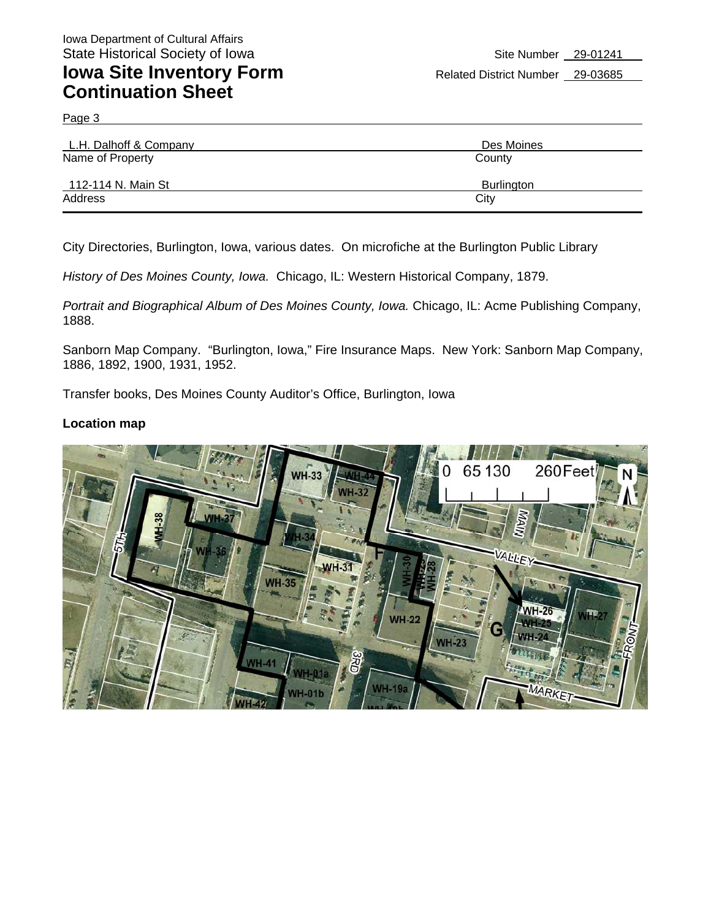Page 3

| L.H. Dalhoff & Company | Des Moines        |
|------------------------|-------------------|
| Name of Property       | County            |
| 112-114 N. Main St     | <b>Burlington</b> |
| Address                | City              |

City Directories, Burlington, Iowa, various dates. On microfiche at the Burlington Public Library

*History of Des Moines County, Iowa.* Chicago, IL: Western Historical Company, 1879.

*Portrait and Biographical Album of Des Moines County, Iowa.* Chicago, IL: Acme Publishing Company, 1888.

Sanborn Map Company. "Burlington, Iowa," Fire Insurance Maps. New York: Sanborn Map Company, 1886, 1892, 1900, 1931, 1952.

Transfer books, Des Moines County Auditor's Office, Burlington, Iowa

#### **Location map**

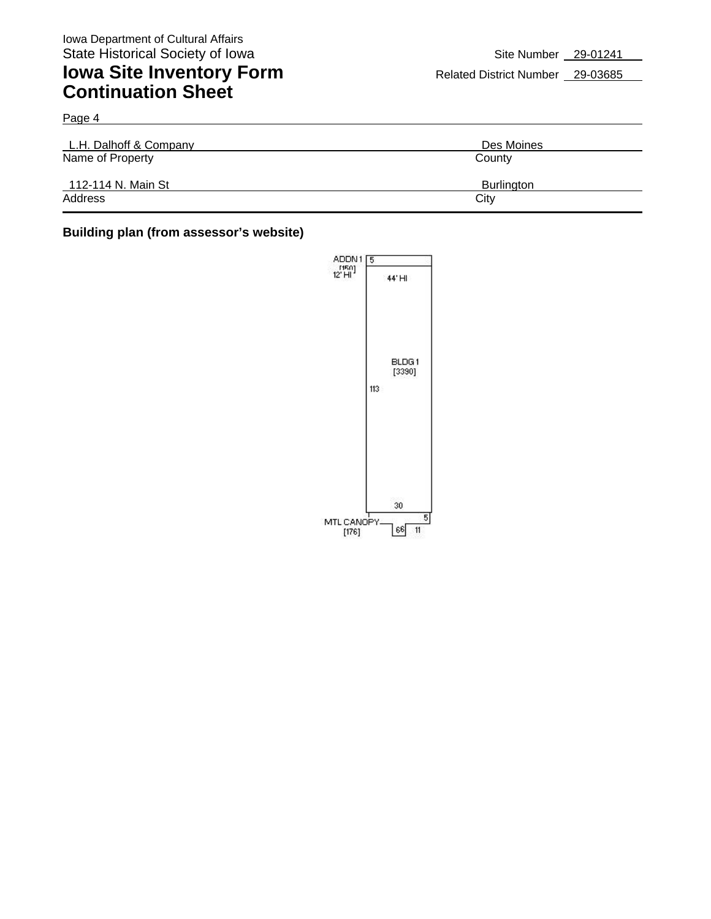Page 4

# **Iowa Site Inventory Form** Related District Number 29-03685 **Continuation Sheet**

| L.H. Dalhoff & Company | Des Moines        |
|------------------------|-------------------|
| Name of Property       | County            |
| 112-114 N. Main St     | <b>Burlington</b> |
| Address                | City              |

### **Building plan (from assessor's website)**

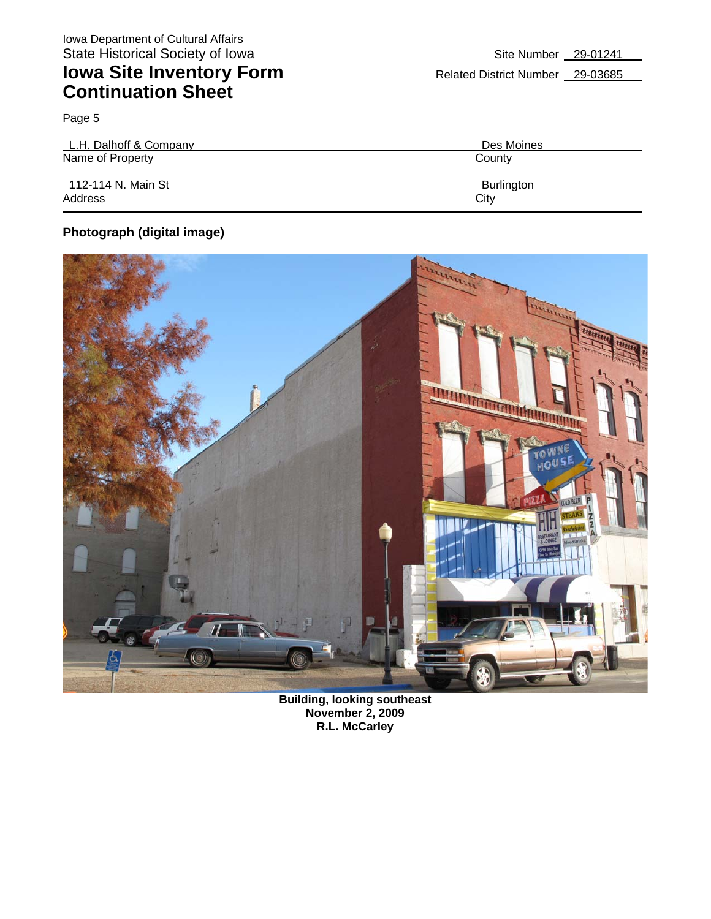| L.H. Dalhoff & Company | Des Moines        |
|------------------------|-------------------|
| Name of Property       | County            |
| 112-114 N. Main St     | <b>Burlington</b> |
| Address                | City              |

## **Photograph (digital image)**

Page 5



**Building, looking southeast November 2, 2009 R.L. McCarley**